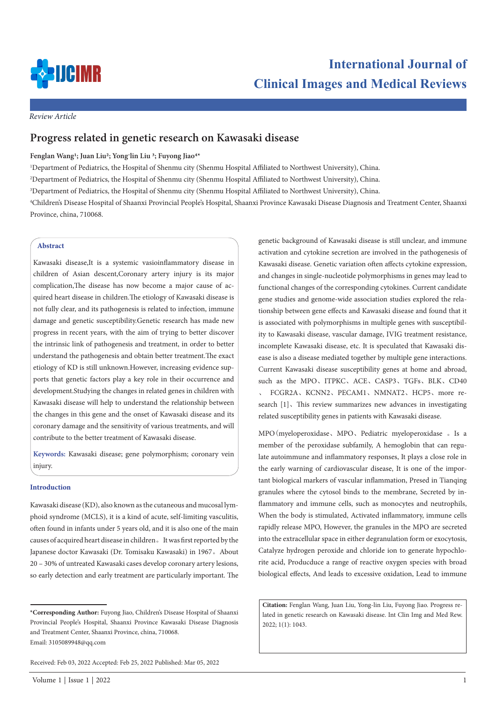

*Review Article*

# **Progress related in genetic research on Kawasaki disease**

## **Fenglan Wang1; Juan Liu2; Yong-lin Liu 3; Fuyong Jiao4\***

1 Department of Pediatrics, the Hospital of Shenmu city (Shenmu Hospital Affiliated to Northwest University), China.

2 Department of Pediatrics, the Hospital of Shenmu city (Shenmu Hospital Affiliated to Northwest University), China.

3 Department of Pediatrics, the Hospital of Shenmu city (Shenmu Hospital Affiliated to Northwest University), China.

4 Children's Disease Hospital of Shaanxi Provincial People's Hospital, Shaanxi Province Kawasaki Disease Diagnosis and Treatment Center, Shaanxi Province, china, 710068.

## **Abstract**

Kawasaki disease,It is a systemic vasioinflammatory disease in children of Asian descent,Coronary artery injury is its major complication,The disease has now become a major cause of acquired heart disease in children.The etiology of Kawasaki disease is not fully clear, and its pathogenesis is related to infection, immune damage and genetic susceptibility.Genetic research has made new progress in recent years, with the aim of trying to better discover the intrinsic link of pathogenesis and treatment, in order to better understand the pathogenesis and obtain better treatment.The exact etiology of KD is still unknown.However, increasing evidence supports that genetic factors play a key role in their occurrence and development.Studying the changes in related genes in children with Kawasaki disease will help to understand the relationship between the changes in this gene and the onset of Kawasaki disease and its coronary damage and the sensitivity of various treatments, and will contribute to the better treatment of Kawasaki disease.

**Keywords:** Kawasaki disease; gene polymorphism; coronary vein injury.

#### **Introduction**

Kawasaki disease (KD), also known as the cutaneous and mucosal lymphoid syndrome (MCLS), it is a kind of acute, self-limiting vasculitis, often found in infants under 5 years old, and it is also one of the main causes of acquired heart disease in children。It was first reported by the Japanese doctor Kawasaki (Dr. Tomisaku Kawasaki) in 1967。About 20 – 30% of untreated Kawasaki cases develop coronary artery lesions, so early detection and early treatment are particularly important. The

genetic background of Kawasaki disease is still unclear, and immune activation and cytokine secretion are involved in the pathogenesis of Kawasaki disease. Genetic variation often affects cytokine expression, and changes in single-nucleotide polymorphisms in genes may lead to functional changes of the corresponding cytokines. Current candidate gene studies and genome-wide association studies explored the relationship between gene effects and Kawasaki disease and found that it is associated with polymorphisms in multiple genes with susceptibility to Kawasaki disease, vascular damage, IVIG treatment resistance, incomplete Kawasaki disease, etc. It is speculated that Kawasaki disease is also a disease mediated together by multiple gene interactions. Current Kawasaki disease susceptibility genes at home and abroad, such as the MPO、ITPKC、ACE、CASP3、TGFs、BLK、CD40 、 FCGR2A、KCNN2、PECAM1、NMNAT2、HCP5、more research [1]. This review summarizes new advances in investigating related susceptibility genes in patients with Kawasaki disease.

MPO(myeloperoxidase、MPO、Pediatric myeloperoxidase 。Is a member of the peroxidase subfamily, A hemoglobin that can regulate autoimmune and inflammatory responses, It plays a close role in the early warning of cardiovascular disease, It is one of the important biological markers of vascular inflammation, Presed in Tianqing granules where the cytosol binds to the membrane, Secreted by inflammatory and immune cells, such as monocytes and neutrophils, When the body is stimulated, Activated inflammatory, immune cells rapidly release MPO, However, the granules in the MPO are secreted into the extracellular space in either degranulation form or exocytosis, Catalyze hydrogen peroxide and chloride ion to generate hypochlorite acid, Producduce a range of reactive oxygen species with broad biological effects, And leads to excessive oxidation, Lead to immune

**Citation:** Fenglan Wang, Juan Liu, Yong-lin Liu, Fuyong Jiao. Progress related in genetic research on Kawasaki disease. Int Clin Img and Med Rew. 2022; 1(1): 1043.

**<sup>\*</sup>Corresponding Author:** Fuyong Jiao, Children's Disease Hospital of Shaanxi Provincial People's Hospital, Shaanxi Province Kawasaki Disease Diagnosis and Treatment Center, Shaanxi Province, china, 710068. Email: 3105089948@qq.com

Received: Feb 03, 2022 Accepted: Feb 25, 2022 Published: Mar 05, 2022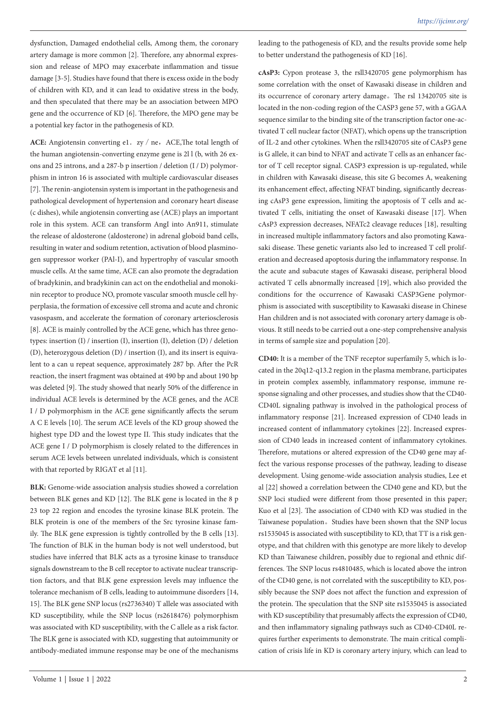dysfunction, Damaged endothelial cells, Among them, the coronary artery damage is more common [2]. Therefore, any abnormal expression and release of MPO may exacerbate inflammation and tissue damage [3-5]. Studies have found that there is excess oxide in the body of children with KD, and it can lead to oxidative stress in the body, and then speculated that there may be an association between MPO gene and the occurrence of KD [6]. Therefore, the MPO gene may be a potential key factor in the pathogenesis of KD.

**ACE:** Angiotensin converting e1.  $zy/ne$ , ACE, The total length of the human angiotensin-converting enzyme gene is 2l l (b, with 26 exons and 25 introns, and a 287-b p insertion / deletion (I / D) polymorphism in intron 16 is associated with multiple cardiovascular diseases [7]. The renin-angiotensin system is important in the pathogenesis and pathological development of hypertension and coronary heart disease (c dishes), while angiotensin converting ase (ACE) plays an important role in this system. ACE can transform AngI into An911, stimulate the release of aldosterone (aldosterone) in adrenal globoid band cells, resulting in water and sodium retention, activation of blood plasminogen suppressor worker (PAl-I), and hypertrophy of vascular smooth muscle cells. At the same time, ACE can also promote the degradation of bradykinin, and bradykinin can act on the endothelial and monokinin receptor to produce NO, promote vascular smooth muscle cell hyperplasia, the formation of excessive cell stroma and acute and chronic vasospasm, and accelerate the formation of coronary arteriosclerosis [8]. ACE is mainly controlled by the ACE gene, which has three genotypes: insertion (I) / insertion (I), insertion (I), deletion (D) / deletion (D), heterozygous deletion (D) / insertion (I), and its insert is equivalent to a can u repeat sequence, approximately 287 bp. After the PcR reaction, the insert fragment was obtained at 490 bp and about 190 bp was deleted [9]. The study showed that nearly 50% of the difference in individual ACE levels is determined by the ACE genes, and the ACE I / D polymorphism in the ACE gene significantly affects the serum A C E levels [10]. The serum ACE levels of the KD group showed the highest type DD and the lowest type II. This study indicates that the ACE gene I / D polymorphism is closely related to the differences in serum ACE levels between unrelated individuals, which is consistent with that reported by RIGAT et al [11].

**BLK:** Genome-wide association analysis studies showed a correlation between BLK genes and KD [12]. The BLK gene is located in the 8 p 23 top 22 region and encodes the tyrosine kinase BLK protein. The BLK protein is one of the members of the Src tyrosine kinase family. The BLK gene expression is tightly controlled by the B cells [13]. The function of BLK in the human body is not well understood, but studies have inferred that BLK acts as a tyrosine kinase to transduce signals downstream to the B cell receptor to activate nuclear transcription factors, and that BLK gene expression levels may influence the tolerance mechanism of B cells, leading to autoimmune disorders [14, 15]. The BLK gene SNP locus (rs2736340) T allele was associated with KD susceptibility, while the SNP locus (rs2618476) polymorphism was associated with KD susceptibility, with the C allele as a risk factor. The BLK gene is associated with KD, suggesting that autoimmunity or antibody-mediated immune response may be one of the mechanisms

leading to the pathogenesis of KD, and the results provide some help to better understand the pathogenesis of KD [16].

**cAsP3:** Cypon protease 3, the rsll3420705 gene polymorphism has some correlation with the onset of Kawasaki disease in children and its occurrence of coronary artery damage。The rsl 13420705 site is located in the non-coding region of the CASP3 gene 57, with a GGAA sequence similar to the binding site of the transcription factor one-activated T cell nuclear factor (NFAT), which opens up the transcription of IL-2 and other cytokines. When the rsll3420705 site of CAsP3 gene is G allele, it can bind to NFAT and activate T cells as an enhancer factor of T cell receptor signal. CASP3 expression is up-regulated, while in children with Kawasaki disease, this site G becomes A, weakening its enhancement effect, affecting NFAT binding, significantly decreasing cAsP3 gene expression, limiting the apoptosis of T cells and activated T cells, initiating the onset of Kawasaki disease [17]. When cAsP3 expression decreases, NFATc2 cleavage reduces [18], resulting in increased multiple inflammatory factors and also promoting Kawasaki disease. These genetic variants also led to increased T cell proliferation and decreased apoptosis during the inflammatory response. In the acute and subacute stages of Kawasaki disease, peripheral blood activated T cells abnormally increased [19], which also provided the conditions for the occurrence of Kawasaki CASP3Gene polymorphism is associated with susceptibility to Kawasaki disease in Chinese Han children and is not associated with coronary artery damage is obvious. It still needs to be carried out a one-step comprehensive analysis in terms of sample size and population [20].

**CD40:** It is a member of the TNF receptor superfamily 5, which is located in the 20q12-q13.2 region in the plasma membrane, participates in protein complex assembly, inflammatory response, immune response signaling and other processes, and studies show that the CD40- CD40L signaling pathway is involved in the pathological process of inflammatory response [21]. Increased expression of CD40 leads in increased content of inflammatory cytokines [22]. Increased expression of CD40 leads in increased content of inflammatory cytokines. Therefore, mutations or altered expression of the CD40 gene may affect the various response processes of the pathway, leading to disease development. Using genome-wide association analysis studies, Lee et al [22] showed a correlation between the CD40 gene and KD, but the SNP loci studied were different from those presented in this paper; Kuo et al [23]. The association of CD40 with KD was studied in the Taiwanese population。Studies have been shown that the SNP locus rs1535045 is associated with susceptibility to KD, that TT is a risk genotype, and that children with this genotype are more likely to develop KD than Taiwanese children, possibly due to regional and ethnic differences. The SNP locus rs4810485, which is located above the intron of the CD40 gene, is not correlated with the susceptibility to KD, possibly because the SNP does not affect the function and expression of the protein. The speculation that the SNP site rs1535045 is associated with KD susceptibility that presumably affects the expression of CD40, and then inflammatory signaling pathways such as CD40-CD40L requires further experiments to demonstrate. The main critical complication of crisis life in KD is coronary artery injury, which can lead to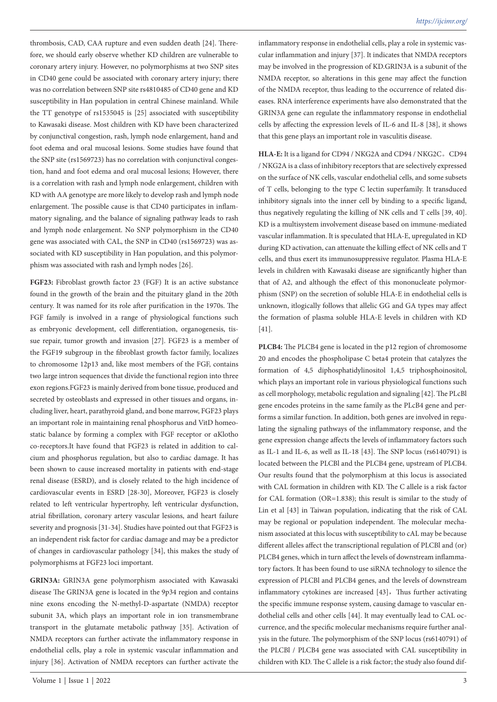thrombosis, CAD, CAA rupture and even sudden death [24]. Therefore, we should early observe whether KD children are vulnerable to coronary artery injury. However, no polymorphisms at two SNP sites in CD40 gene could be associated with coronary artery injury; there was no correlation between SNP site rs4810485 of CD40 gene and KD susceptibility in Han population in central Chinese mainland. While the TT genotype of rs1535045 is [25] associated with susceptibility to Kawasaki disease. Most children with KD have been characterized by conjunctival congestion, rash, lymph node enlargement, hand and foot edema and oral mucosal lesions. Some studies have found that the SNP site (rs1569723) has no correlation with conjunctival congestion, hand and foot edema and oral mucosal lesions; However, there is a correlation with rash and lymph node enlargement, children with KD with AA genotype are more likely to develop rash and lymph node enlargement. The possible cause is that CD40 participates in inflammatory signaling, and the balance of signaling pathway leads to rash and lymph node enlargement. No SNP polymorphism in the CD40 gene was associated with CAL, the SNP in CD40 (rs1569723) was associated with KD susceptibility in Han population, and this polymorphism was associated with rash and lymph nodes [26].

**FGF23:** Fibroblast growth factor 23 (FGF) It is an active substance found in the growth of the brain and the pituitary gland in the 20th century. It was named for its role after purification in the 1970s. The FGF family is involved in a range of physiological functions such as embryonic development, cell differentiation, organogenesis, tissue repair, tumor growth and invasion [27]. FGF23 is a member of the FGF19 subgroup in the fibroblast growth factor family, localizes to chromosome 12p13 and, like most members of the FGF, contains two large intron sequences that divide the functional region into three exon regions.FGF23 is mainly derived from bone tissue, produced and secreted by osteoblasts and expressed in other tissues and organs, including liver, heart, parathyroid gland, and bone marrow, FGF23 plays an important role in maintaining renal phosphorus and VitD homeostatic balance by forming a complex with FGF receptor or αKlotho co-receptors.It have found that FGF23 is related in addition to calcium and phosphorus regulation, but also to cardiac damage. It has been shown to cause increased mortality in patients with end-stage renal disease (ESRD), and is closely related to the high incidence of cardiovascular events in ESRD [28-30], Moreover, FGF23 is closely related to left ventricular hypertrophy, left ventricular dysfunction, atrial fibrillation, coronary artery vascular lesions, and heart failure severity and prognosis [31-34]. Studies have pointed out that FGF23 is an independent risk factor for cardiac damage and may be a predictor of changes in cardiovascular pathology [34], this makes the study of polymorphisms at FGF23 loci important.

**GRIN3A:** GRIN3A gene polymorphism associated with Kawasaki disease The GRIN3A gene is located in the 9p34 region and contains nine exons encoding the N-methyl-D-aspartate (NMDA) receptor subunit 3A, which plays an important role in ion transmembrane transport in the glutamate metabolic pathway [35]. Activation of NMDA receptors can further activate the inflammatory response in endothelial cells, play a role in systemic vascular inflammation and injury [36]. Activation of NMDA receptors can further activate the

inflammatory response in endothelial cells, play a role in systemic vascular inflammation and injury [37]. It indicates that NMDA receptors may be involved in the progression of KD.GRIN3A is a subunit of the NMDA receptor, so alterations in this gene may affect the function of the NMDA receptor, thus leading to the occurrence of related diseases. RNA interference experiments have also demonstrated that the GRIN3A gene can regulate the inflammatory response in endothelial cells by affecting the expression levels of IL-6 and IL-8 [38], it shows that this gene plays an important role in vasculitis disease.

**HLA-E:** It is a ligand for CD94 / NKG2A and CD94 / NKG2C。CD94 / NKG2A is a class of inhibitory receptors that are selectively expressed on the surface of NK cells, vascular endothelial cells, and some subsets of T cells, belonging to the type C lectin superfamily. It transduced inhibitory signals into the inner cell by binding to a specific ligand, thus negatively regulating the killing of NK cells and T cells [39, 40]. KD is a multisystem involvement disease based on immune-mediated vascular inflammation. It is speculated that HLA-E, upregulated in KD during KD activation, can attenuate the killing effect of NK cells and T cells, and thus exert its immunosuppressive regulator. Plasma HLA-E levels in children with Kawasaki disease are significantly higher than that of A2, and although the effect of this mononucleate polymorphism (SNP) on the secretion of soluble HLA-E in endothelial cells is unknown, itlogically follows that allelic GG and GA types may affect the formation of plasma soluble HLA-E levels in children with KD [41].

**PLCB4:** The PLCB4 gene is located in the p12 region of chromosome 20 and encodes the phospholipase C beta4 protein that catalyzes the formation of 4,5 diphosphatidylinositol 1,4,5 triphosphoinositol, which plays an important role in various physiological functions such as cell morphology, metabolic regulation and signaling [42]. The PLcBl gene encodes proteins in the same family as the PLcB4 gene and performs a similar function. In addition, both genes are involved in regulating the signaling pathways of the inflammatory response, and the gene expression change affects the levels of inflammatory factors such as IL-1 and IL-6, as well as IL-18 [43]. The SNP locus (rs6140791) is located between the PLCBl and the PLCB4 gene, upstream of PLCB4. Our results found that the polymorphism at this locus is associated with CAL formation in children with KD. The C allele is a risk factor for CAL formation (OR=1.838); this result is similar to the study of Lin et al [43] in Taiwan population, indicating that the risk of CAL may be regional or population independent. The molecular mechanism associated at this locus with susceptibility to cAL may be because different alleles affect the transcriptional regulation of PLCBl and (or) PLCB4 genes, which in turn affect the levels of downstream inflammatory factors. It has been found to use siRNA technology to silence the expression of PLCBl and PLCB4 genes, and the levels of downstream inflammatory cytokines are increased [43], Thus further activating the specific immune response system, causing damage to vascular endothelial cells and other cells [44]. It may eventually lead to CAL occurrence, and the specific molecular mechanisms require further analysis in the future. The polymorphism of the SNP locus (rs6140791) of the PLCBl / PLCB4 gene was associated with CAL susceptibility in children with KD. The C allele is a risk factor; the study also found dif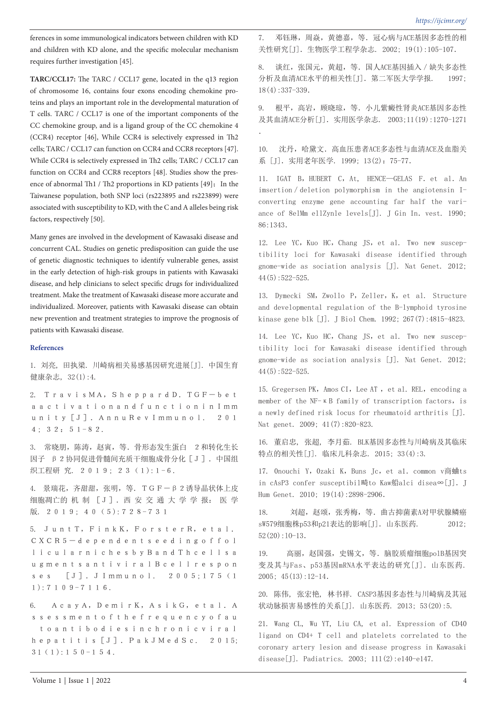ferences in some immunological indicators between children with KD and children with KD alone, and the specific molecular mechanism requires further investigation [45].

**TARC/CCL17:** The TARC / CCL17 gene, located in the q13 region of chromosome 16, contains four exons encoding chemokine proteins and plays an important role in the developmental maturation of T cells. TARC / CCL17 is one of the important components of the CC chemokine group, and is a ligand group of the CC chemokine 4 (CCR4) receptor [46], While CCR4 is selectively expressed in Th2 cells; TARC / CCL17 can function on CCR4 and CCR8 receptors [47]. While CCR4 is selectively expressed in Th2 cells; TARC / CCL17 can function on CCR4 and CCR8 receptors [48]. Studies show the presence of abnormal Th1 / Th2 proportions in KD patients  $[49]$ ; In the Taiwanese population, both SNP loci (rs223895 and rs223899) were associated with susceptibility to KD, with the C and A alleles being risk factors, respectively [50].

Many genes are involved in the development of Kawasaki disease and concurrent CAL. Studies on genetic predisposition can guide the use of genetic diagnostic techniques to identify vulnerable genes, assist in the early detection of high-risk groups in patients with Kawasaki disease, and help clinicians to select specific drugs for individualized treatment. Make the treatment of Kawasaki disease more accurate and individualized. Moreover, patients with Kawasaki disease can obtain new prevention and treatment strategies to improve the prognosis of patients with Kawasaki disease.

#### **References**

1. 刘亮, 田执梁. 川崎病相关易感基因研究进展[J]. 中国生育 健康杂志, 32(1):4.

2. TravisMA,SheppardD.TGF-bet aactivationandfunctioninImm unity[J].AnnuRevImmunol. 201 4; 32:51-82.

3. 常晓朋,陈涛,赵寅,等.骨形态发生蛋白 2和转化生长 因子 β2协同促进骨髓间充质干细胞成骨分化[J].中国组 织工程研 究. 2019: 23 (1):1-6.

4. 景瑞花,齐甜甜,张明,等.TGF-β2诱导晶状体上皮 细胞凋亡的 机 制 [J].西 安 交 通 大 学 学 报: 医 学 版. 2019; 40 (5):728-731

5. JuntT,FinkK,ForsterR,etal. CXCR5-dependentseedingoffol licularnichesbyBandThcellsa ugmentsantiviralBcellrespon ses [J].JImmunol. 2005;175(1 1):7109-7116.

6. AcayA,DemirK,AsikG,etal.A ssessmentofthefrequencyofau toantibodiesinchronicviral hepatitis<sup>[J]</sup>. PakJMedSc. 2015;  $31(1):150-154.$ 

7. 邓钰琳, 周焱, 黄德嘉, 等. 冠心病与ACE基因多态性的相 关性研究[J].生物医学工程学杂志. 2002; 19(1):105-107.

8. 谈红,张国元,黄超,等. 国人ACE基因插入 / 缺失多态性 分析及血清ACE水平的相关性[J]. 第二军医大学学报. 1997; 18(4):337-339.

9. 根平, 高岩, 顾晓琼, 等. 小儿紫癜性肾炎ACE基因多态性 及其血清ACE分析[J].实用医学杂志. 2003;11(19):1270-1271 .

10. 沈丹,哈黛文.高血压患者ACE多态性与血清ACE及血脂关 系 [J]. 实用老年医学. 1999; 13(2): 75-77.

11. IGAT B, HUBERT C, At, HENCE-GELAS F. et al. An imsertion/deletion polymorphism in the angiotensin Iconverting enzyme gene accounting far half the variance of 8elMm ellZynle levels[J]. J Gin In. vest. 1990; 86:1343.

12. Lee YC, Kuo HC, Chang JS, et al. Two new susceptibility loci for Kawasaki disease identified through gnome-wide as sociation analysis [J]. Nat Genet. 2012; 44(5):522-525.

13. Dymecki SM, Zwollo P, Zeller, K, et al. Structure and developmental regulation of the B-lymphoid tyrosine kinase gene blk [J]. J Biol Chem. 1992; 267(7):4815-4823.

14. Lee YC, Kuo HC, Chang JS, et al. Two new susceptibility loci for Kawasaki disease identified through gnome-wide as sociation analysis [J]. Nat Genet. 2012; 44(5):522-525.

15. Gregersen PK, Amos CI, Lee AT, et al. REL, encoding a member of the NF-κB family of transcription factors, is a newly defined risk locus for rheumatoid arthritis [J]. Nat genet. 2009; 41(7):820-823.

16. 董启忠, 张超, 李月茹. BLK基因多态性与川崎病及其临床 特点的相关性[J]. 临床儿科杂志. 2015; 33(4):3.

17. Onouchi Y, Ozaki K, Buns Jc, et al. common v商蛐ts in cAsP3 confer susceptibil畸to Kaw船alci disea∞[J]. J Hum Genet. 2010; 19(14):2898-2906.

18. 刘超,赵颂,张秀梅,等.曲古抑菌素A对甲状腺鳞癌 sW579细胞株p53和p21表达的影响[J]. 山东医药. 2012;  $52(20):10-13.$ 

19. 高丽,赵国强,史锡文,等.脑胶质瘤细胞polB基因突 变及其与Fas、p53基因mRNA水平表达的研究[J]. 山东医药. 2005; 45(13):12-14.

20. 陈伟, 张宏艳, 林书祥. CASP3基因多态性与川崎病及其冠 状动脉损害易感性的关系[J]. 山东医药. 2013; 53(20):5.

21. Wang CL, Wu YT, Liu CA, et al. Expression of CD40 ligand on CD4+ T cell and platelets correlated to the coronary artery lesion and disease progress in Kawasaki disease[J]. Padiatrics. 2003; 111(2):e140-e147.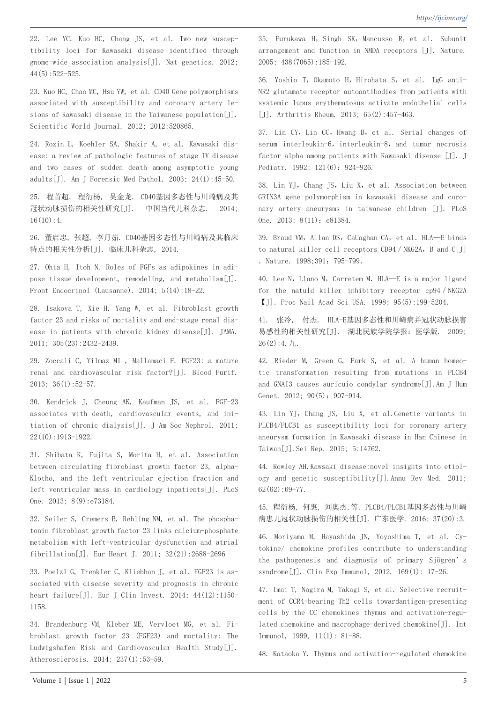22. Lee YC, Kuo HC, Chang JS, et al. Two new susceptibility loci for Kawasaki disease identified through gnome-wide association analysis[J]. Nat genetics. 2012; 44(5):522-525.

23. Kuo HC, Chao MC, Hsu YW, et al. CD40 Gene polymorphisms associated with susceptibility and coronary artery lesions of Kawasaki disease in the Taiwanese population[J]. Scientific World Journal. 2012; 2012:520865.

24. Rozin L, Koehler SA, Shakir A, et al. Kawasaki disease: a review of pathologic features of stage IV disease and two cases of sudden death among asymptotic young adults[J]. Am J Forensic Med Pathol. 2003; 24(1):45-50.

25. 程首超, 程衍杨, 吴金龙. CD40基因多态性与川崎病及其 冠状动脉损伤的相关性研究[J]. 中国当代儿科杂志. 2014;  $16(10):4.$ 

26. 董启忠, 张超, 李月茹. CD40基因多态性与川崎病及其临床 特点的相关性分析[J]. 临床儿科杂志, 2014.

27. Ohta H, Itoh N. Roles of FGFs as adipokines in adipose tissue development, remodeling, and metabolism[J]. Front Endocrinol (Lausanne). 2014; 5(14):18-22.

28. Isakova T, Xie H, Yang W, et al. Fibroblast growth factor 23 and risks of mortality and end-stage renal disease in patients with chronic kidney disease[J]. JAMA. 2011; 305(23):2432-2439.

29. Zoccali C, Yilmaz MI , Mallamaci F. FGF23: a mature renal and cardiovascular risk factor?[J]. Blood Purif.  $2013: 36(1): 52-57.$ 

30. Kendrick J, Cheung AK, Kaufman JS, et al. FGF-23 associates with death, cardiovascular events, and initiation of chronic dialysis[J]. J Am Soc Nephrol. 2011; 22(10):1913-1922.

31. Shibata K, Fujita S, Morita H, et al. Association between circulating fibroblast growth factor 23, alpha-Klotho, and the left ventricular ejection fraction and left ventricular mass in cardiology inpatients[J]. PLoS One. 2013; 8(9):e73184.

32. Seiler S, Cremers B, Rebling NM, et al. The phosphatonin fibroblast growth factor 23 links calcium-phosphate metabolism with left-ventricular dysfunction and atrial fibrillation[J]. Eur Heart J. 2011; 32(21):2688-2696

33. Poelzl G, Trenkler C, Kliebhan J, et al. FGF23 is associated with disease severity and prognosis in chronic heart failure[J]. Eur J Clin Invest. 2014; 44(12):1150- 1158.

34. Brandenburg VM, Kleber ME, Vervloet MG, et al. Fibroblast growth factor 23 (FGF23) and mortality: The Ludwigshafen Risk and Cardiovascular Health Study[J]. Atherosclerosis. 2014; 237(1):53-59.

35. Furukawa H, Singh SK, Mancusso R, et al. Subunit arrangement and function in NMDA receptors [J]. Nature. 2005; 438(7065):185-192.

36. Yoshio T, Okamoto H, Hirohata S, et al. IgG anti-NR2 glutamate receptor autoantibodies from patients with systemic lupus erythematosus activate endothelial cells [J]. Arthritis Rheum. 2013; 65(2):457-463.

37. Lin CY, Lin CC, Hwang B, et al. Serial changes of serum interleukin-6, interleukin-8, and tumor necrosis factor alpha among patients with Kawasaki disease [J]. J Pediatr. 1992; 121(6): 924-926.

38. Lin YJ, Chang JS, Liu X, et al. Association between GRIN3A gene polymorphism in kawasaki disease and coronary artery aneurysms in taiwanese children [J]. PLoS One. 2013: 8(11): e81384.

39. Braud VM, Allan DS, CaUaghan CA, et al. HLA-E binds to natural killer cell receptors CD94 / NKG2A, B and C[J] . Nature. 1998;391: 795-799.

40. Lee N, Llano M, Carretem M. HLA-E is a major ligand for the natuld killer inhibitory receptor cp94/NKG2A 【J].Proc Nail Acad Sci USA. 1998; 95(5):199-5204.

41. 张冷, 付杰. HLA-E基因多态性和川崎病并冠状动脉损害 易感性的相关性研究[J]. 湖北民族学院学报:医学版. 2009;  $26(2):4. \; \nexists$ ..

42. Rieder M, Green G, Park S, et al. A human homeotic transformation resulting from mutations in PLCB4 and GNAI3 causes auricuio condylar syndrome[J].Am J Hum Genet. 2012; 90(5): 907-914.

43. Lin YJ, Chang JS, Liu X, et al. Genetic variants in PLCB4/PLCB1 as susceptibility loci for coronary artery aneurysm formation in Kawasaki disease in Han Chinese in Taiwan[J].Sei Rep. 2015; 5:14762.

44. Rowley AH.Kawsaki disease:novel insights into etiology and genetic susceptibility[J].Annu Rev Med. 2011; 62(62):69-77.

45. 程衍杨, 何惠, 刘奥杰,等. PLCB4/PLCB1基因多态性与川崎 病患儿冠状动脉损伤的相关性[J]. 广东医学. 2016; 37(20):3.

46. Moriyama M, Hayashida JN, Yoyoshima T, et al. Cytokine/ chemokine profiles contribute to understanding the pathogenesis and diagnosis of primary Sjögren's syndrome[J]. Clin Exp Immunol, 2012, 169(1): 17-26.

47. Imai T, Nagira M, Takagi S, et al. Selective recruitment of CCR4-bearing Th2 cells towardantigen-presenting cells by the CC chemokines thymus and activation-regulated chemokine and macrophage-derived chemokine[J]. Int Immunol, 1999, 11(1): 81-88.

48. Kataoka Y. Thymus and activation-regulated chemokine